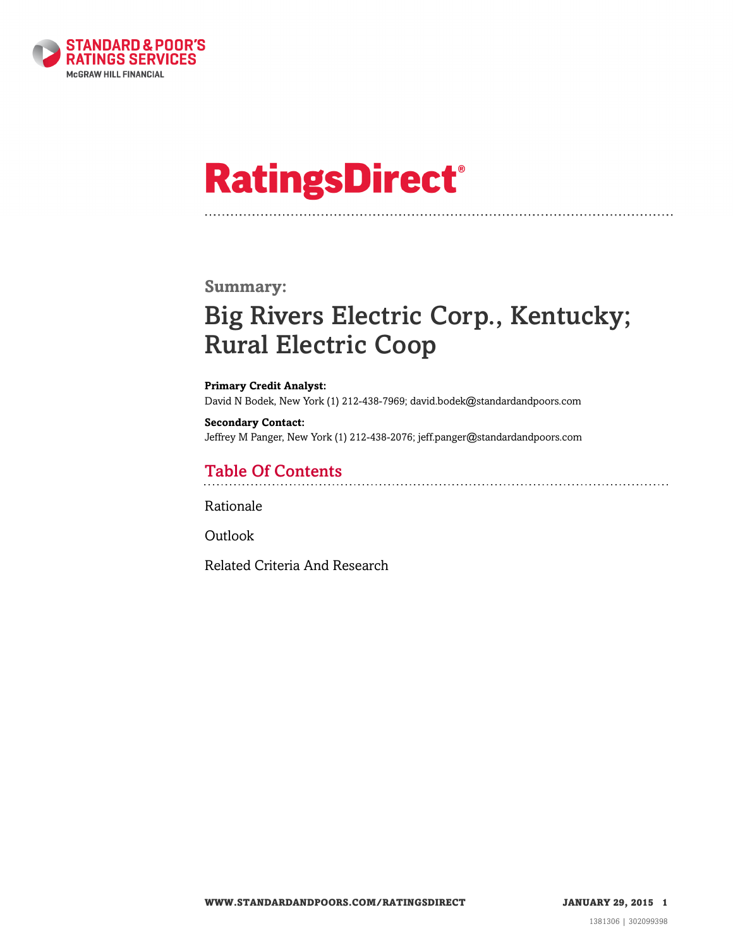

# **RatingsDirect®**

#### **Summary:**

### Big Rivers Electric Corp., Kentucky; Rural Electric Coop

**Primary Credit Analyst:** David N Bodek, New York (1) 212-438-7969; david.bodek@standardandpoors.com

**Secondary Contact:** Jeffrey M Panger, New York (1) 212-438-2076; jeff.panger@standardandpoors.com

### Table Of Contents

[Rationale](#page-1-0)

[Outlook](#page-4-0)

[Related Criteria And Research](#page-4-1)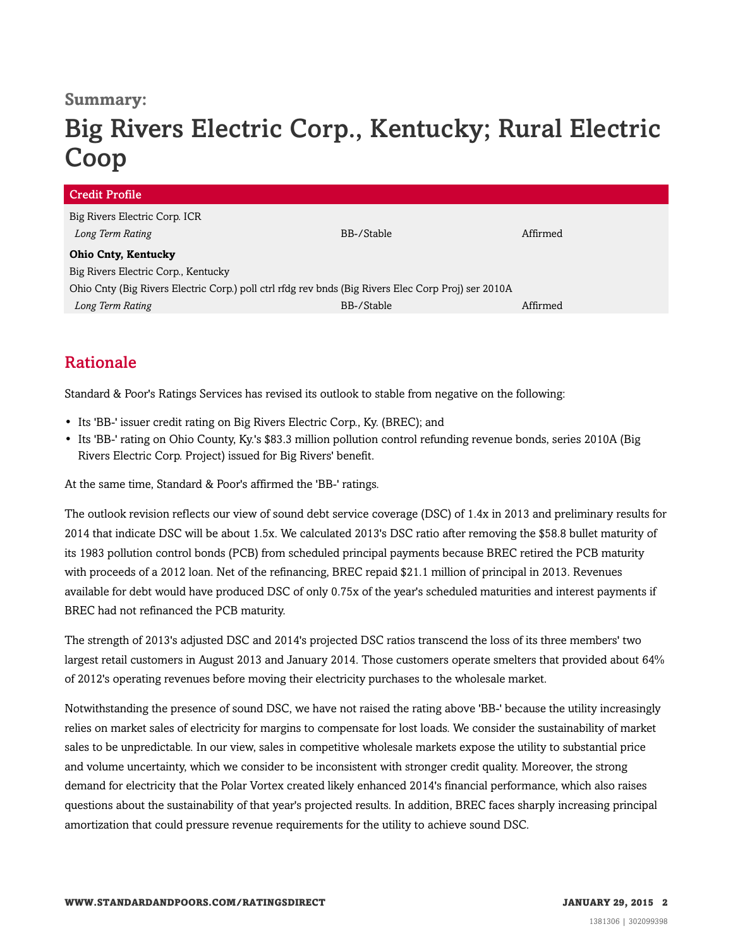### **Summary:**

## Big Rivers Electric Corp., Kentucky; Rural Electric Coop

| <b>Credit Profile</b>                                                                               |            |          |
|-----------------------------------------------------------------------------------------------------|------------|----------|
| Big Rivers Electric Corp. ICR                                                                       |            |          |
| Long Term Rating                                                                                    | BB-/Stable | Affirmed |
| <b>Ohio Cnty, Kentucky</b>                                                                          |            |          |
| Big Rivers Electric Corp., Kentucky                                                                 |            |          |
| Ohio Cnty (Big Rivers Electric Corp.) poll ctrl rfdg rev bnds (Big Rivers Elec Corp Proj) ser 2010A |            |          |
| Long Term Rating                                                                                    | BB-/Stable | Affirmed |

### <span id="page-1-0"></span>Rationale

Standard & Poor's Ratings Services has revised its outlook to stable from negative on the following:

- Its 'BB-' issuer credit rating on Big Rivers Electric Corp., Ky. (BREC); and
- Its 'BB-' rating on Ohio County, Ky.'s \$83.3 million pollution control refunding revenue bonds, series 2010A (Big Rivers Electric Corp. Project) issued for Big Rivers' benefit.

At the same time, Standard & Poor's affirmed the 'BB-' ratings.

The outlook revision reflects our view of sound debt service coverage (DSC) of 1.4x in 2013 and preliminary results for 2014 that indicate DSC will be about 1.5x. We calculated 2013's DSC ratio after removing the \$58.8 bullet maturity of its 1983 pollution control bonds (PCB) from scheduled principal payments because BREC retired the PCB maturity with proceeds of a 2012 loan. Net of the refinancing, BREC repaid \$21.1 million of principal in 2013. Revenues available for debt would have produced DSC of only 0.75x of the year's scheduled maturities and interest payments if BREC had not refinanced the PCB maturity.

The strength of 2013's adjusted DSC and 2014's projected DSC ratios transcend the loss of its three members' two largest retail customers in August 2013 and January 2014. Those customers operate smelters that provided about 64% of 2012's operating revenues before moving their electricity purchases to the wholesale market.

Notwithstanding the presence of sound DSC, we have not raised the rating above 'BB-' because the utility increasingly relies on market sales of electricity for margins to compensate for lost loads. We consider the sustainability of market sales to be unpredictable. In our view, sales in competitive wholesale markets expose the utility to substantial price and volume uncertainty, which we consider to be inconsistent with stronger credit quality. Moreover, the strong demand for electricity that the Polar Vortex created likely enhanced 2014's financial performance, which also raises questions about the sustainability of that year's projected results. In addition, BREC faces sharply increasing principal amortization that could pressure revenue requirements for the utility to achieve sound DSC.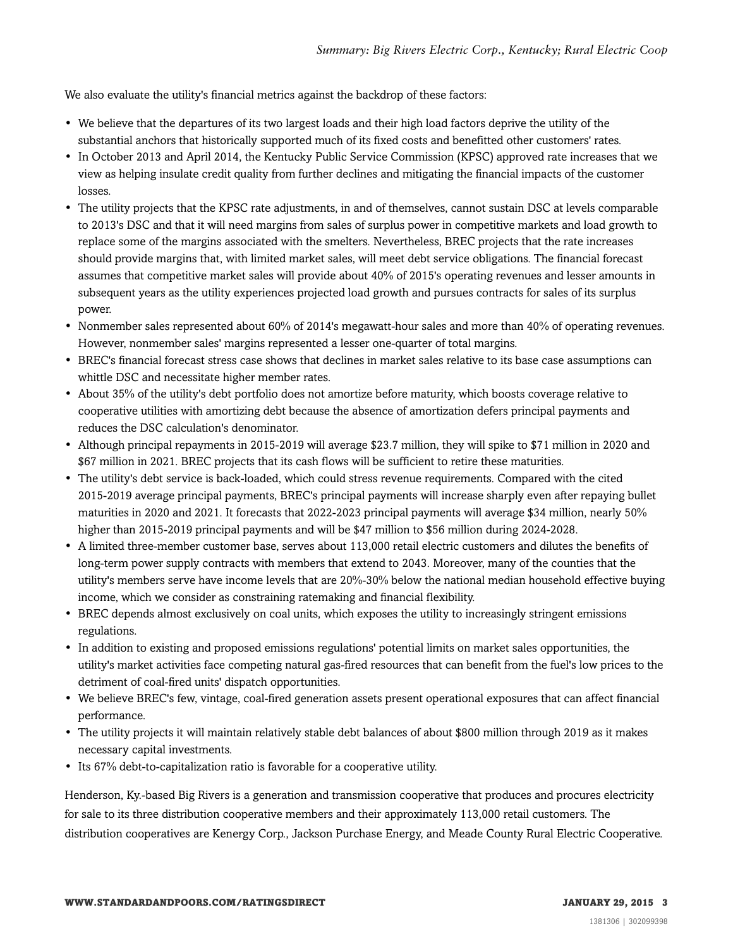We also evaluate the utility's financial metrics against the backdrop of these factors:

- We believe that the departures of its two largest loads and their high load factors deprive the utility of the substantial anchors that historically supported much of its fixed costs and benefitted other customers' rates.
- In October 2013 and April 2014, the Kentucky Public Service Commission (KPSC) approved rate increases that we view as helping insulate credit quality from further declines and mitigating the financial impacts of the customer losses.
- The utility projects that the KPSC rate adjustments, in and of themselves, cannot sustain DSC at levels comparable to 2013's DSC and that it will need margins from sales of surplus power in competitive markets and load growth to replace some of the margins associated with the smelters. Nevertheless, BREC projects that the rate increases should provide margins that, with limited market sales, will meet debt service obligations. The financial forecast assumes that competitive market sales will provide about 40% of 2015's operating revenues and lesser amounts in subsequent years as the utility experiences projected load growth and pursues contracts for sales of its surplus power.
- Nonmember sales represented about 60% of 2014's megawatt-hour sales and more than 40% of operating revenues. However, nonmember sales' margins represented a lesser one-quarter of total margins.
- BREC's financial forecast stress case shows that declines in market sales relative to its base case assumptions can whittle DSC and necessitate higher member rates.
- About 35% of the utility's debt portfolio does not amortize before maturity, which boosts coverage relative to cooperative utilities with amortizing debt because the absence of amortization defers principal payments and reduces the DSC calculation's denominator.
- Although principal repayments in 2015-2019 will average \$23.7 million, they will spike to \$71 million in 2020 and \$67 million in 2021. BREC projects that its cash flows will be sufficient to retire these maturities.
- The utility's debt service is back-loaded, which could stress revenue requirements. Compared with the cited 2015-2019 average principal payments, BREC's principal payments will increase sharply even after repaying bullet maturities in 2020 and 2021. It forecasts that 2022-2023 principal payments will average \$34 million, nearly 50% higher than 2015-2019 principal payments and will be \$47 million to \$56 million during 2024-2028.
- A limited three-member customer base, serves about 113,000 retail electric customers and dilutes the benefits of long-term power supply contracts with members that extend to 2043. Moreover, many of the counties that the utility's members serve have income levels that are 20%-30% below the national median household effective buying income, which we consider as constraining ratemaking and financial flexibility.
- BREC depends almost exclusively on coal units, which exposes the utility to increasingly stringent emissions regulations.
- In addition to existing and proposed emissions regulations' potential limits on market sales opportunities, the utility's market activities face competing natural gas-fired resources that can benefit from the fuel's low prices to the detriment of coal-fired units' dispatch opportunities.
- We believe BREC's few, vintage, coal-fired generation assets present operational exposures that can affect financial performance.
- The utility projects it will maintain relatively stable debt balances of about \$800 million through 2019 as it makes necessary capital investments.
- Its 67% debt-to-capitalization ratio is favorable for a cooperative utility.

Henderson, Ky.-based Big Rivers is a generation and transmission cooperative that produces and procures electricity for sale to its three distribution cooperative members and their approximately 113,000 retail customers. The distribution cooperatives are Kenergy Corp., Jackson Purchase Energy, and Meade County Rural Electric Cooperative.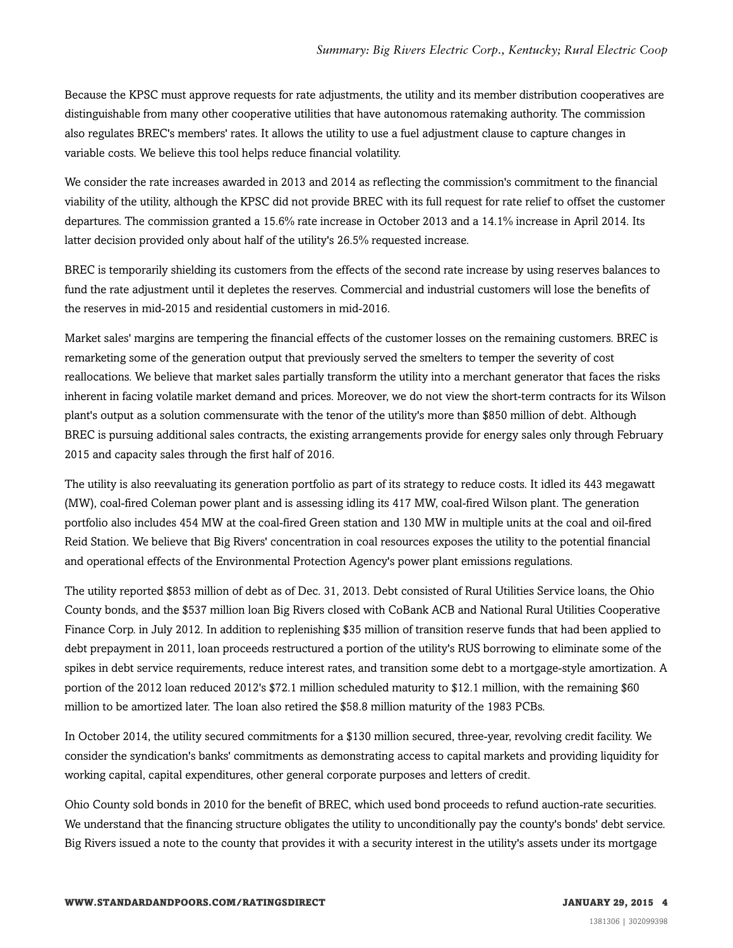Because the KPSC must approve requests for rate adjustments, the utility and its member distribution cooperatives are distinguishable from many other cooperative utilities that have autonomous ratemaking authority. The commission also regulates BREC's members' rates. It allows the utility to use a fuel adjustment clause to capture changes in variable costs. We believe this tool helps reduce financial volatility.

We consider the rate increases awarded in 2013 and 2014 as reflecting the commission's commitment to the financial viability of the utility, although the KPSC did not provide BREC with its full request for rate relief to offset the customer departures. The commission granted a 15.6% rate increase in October 2013 and a 14.1% increase in April 2014. Its latter decision provided only about half of the utility's 26.5% requested increase.

BREC is temporarily shielding its customers from the effects of the second rate increase by using reserves balances to fund the rate adjustment until it depletes the reserves. Commercial and industrial customers will lose the benefits of the reserves in mid-2015 and residential customers in mid-2016.

Market sales' margins are tempering the financial effects of the customer losses on the remaining customers. BREC is remarketing some of the generation output that previously served the smelters to temper the severity of cost reallocations. We believe that market sales partially transform the utility into a merchant generator that faces the risks inherent in facing volatile market demand and prices. Moreover, we do not view the short-term contracts for its Wilson plant's output as a solution commensurate with the tenor of the utility's more than \$850 million of debt. Although BREC is pursuing additional sales contracts, the existing arrangements provide for energy sales only through February 2015 and capacity sales through the first half of 2016.

The utility is also reevaluating its generation portfolio as part of its strategy to reduce costs. It idled its 443 megawatt (MW), coal-fired Coleman power plant and is assessing idling its 417 MW, coal-fired Wilson plant. The generation portfolio also includes 454 MW at the coal-fired Green station and 130 MW in multiple units at the coal and oil-fired Reid Station. We believe that Big Rivers' concentration in coal resources exposes the utility to the potential financial and operational effects of the Environmental Protection Agency's power plant emissions regulations.

The utility reported \$853 million of debt as of Dec. 31, 2013. Debt consisted of Rural Utilities Service loans, the Ohio County bonds, and the \$537 million loan Big Rivers closed with CoBank ACB and National Rural Utilities Cooperative Finance Corp. in July 2012. In addition to replenishing \$35 million of transition reserve funds that had been applied to debt prepayment in 2011, loan proceeds restructured a portion of the utility's RUS borrowing to eliminate some of the spikes in debt service requirements, reduce interest rates, and transition some debt to a mortgage-style amortization. A portion of the 2012 loan reduced 2012's \$72.1 million scheduled maturity to \$12.1 million, with the remaining \$60 million to be amortized later. The loan also retired the \$58.8 million maturity of the 1983 PCBs.

In October 2014, the utility secured commitments for a \$130 million secured, three-year, revolving credit facility. We consider the syndication's banks' commitments as demonstrating access to capital markets and providing liquidity for working capital, capital expenditures, other general corporate purposes and letters of credit.

Ohio County sold bonds in 2010 for the benefit of BREC, which used bond proceeds to refund auction-rate securities. We understand that the financing structure obligates the utility to unconditionally pay the county's bonds' debt service. Big Rivers issued a note to the county that provides it with a security interest in the utility's assets under its mortgage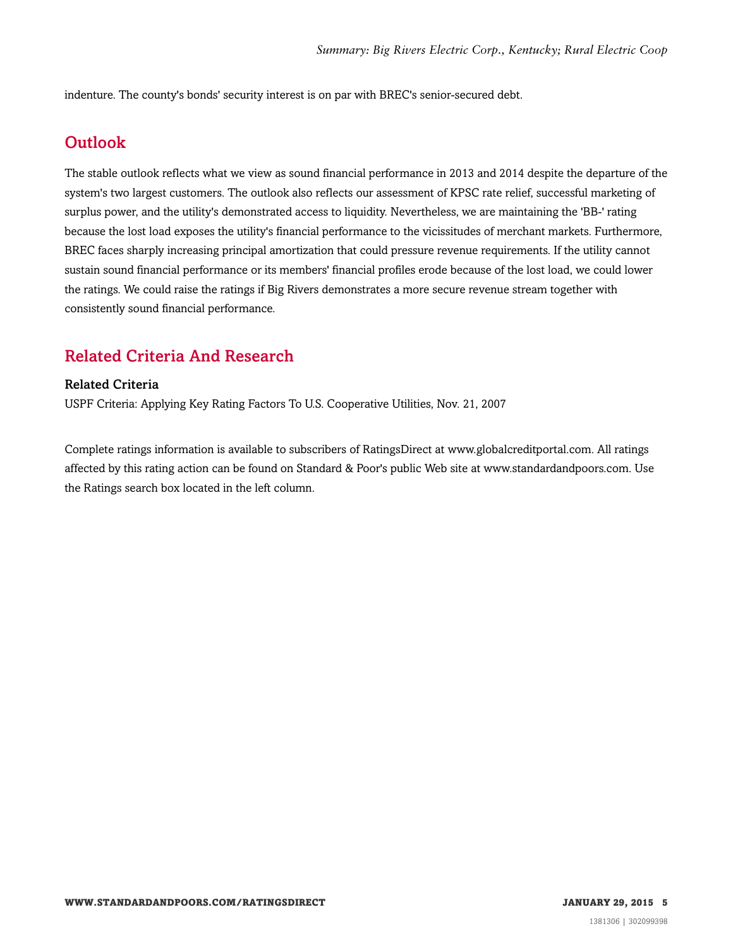<span id="page-4-0"></span>indenture. The county's bonds' security interest is on par with BREC's senior-secured debt.

### **Outlook**

The stable outlook reflects what we view as sound financial performance in 2013 and 2014 despite the departure of the system's two largest customers. The outlook also reflects our assessment of KPSC rate relief, successful marketing of surplus power, and the utility's demonstrated access to liquidity. Nevertheless, we are maintaining the 'BB-' rating because the lost load exposes the utility's financial performance to the vicissitudes of merchant markets. Furthermore, BREC faces sharply increasing principal amortization that could pressure revenue requirements. If the utility cannot sustain sound financial performance or its members' financial profiles erode because of the lost load, we could lower the ratings. We could raise the ratings if Big Rivers demonstrates a more secure revenue stream together with consistently sound financial performance.

### <span id="page-4-1"></span>Related Criteria And Research

#### Related Criteria

USPF Criteria: Applying Key Rating Factors To U.S. Cooperative Utilities, Nov. 21, 2007

Complete ratings information is available to subscribers of RatingsDirect at www.globalcreditportal.com. All ratings affected by this rating action can be found on Standard & Poor's public Web site at www.standardandpoors.com. Use the Ratings search box located in the left column.